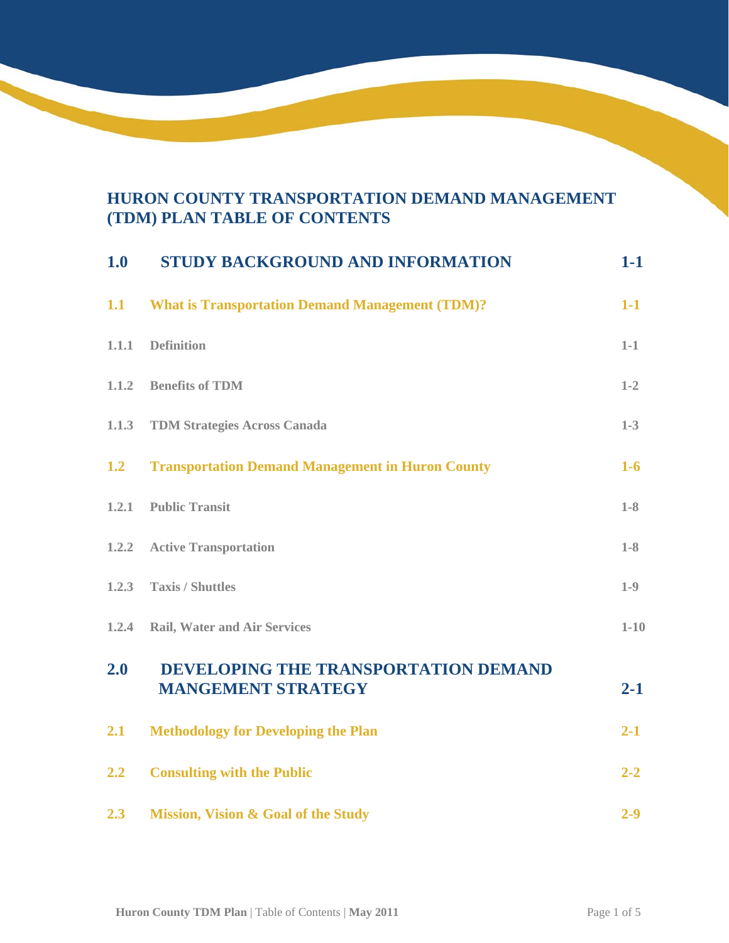## **HURON COUNTY TRANSPORTATION DEMAND MANAGEMENT (TDM) PLAN TABLE OF CONTENTS**

| 1.0   | <b>STUDY BACKGROUND AND INFORMATION</b>                           | $1-1$    |
|-------|-------------------------------------------------------------------|----------|
| 1.1   | <b>What is Transportation Demand Management (TDM)?</b>            | $1-1$    |
| 1.1.1 | <b>Definition</b>                                                 | $1-1$    |
| 1.1.2 | <b>Benefits of TDM</b>                                            | $1 - 2$  |
| 1.1.3 | <b>TDM Strategies Across Canada</b>                               | $1-3$    |
| 1.2   | <b>Transportation Demand Management in Huron County</b>           | $1-6$    |
| 1,2.1 | <b>Public Transit</b>                                             | $1-8$    |
| 1.2.2 | <b>Active Transportation</b>                                      | $1-8$    |
| 1.2.3 | <b>Taxis / Shuttles</b>                                           | $1-9$    |
| 1.2.4 | <b>Rail, Water and Air Services</b>                               | $1 - 10$ |
| 2.0   | DEVELOPING THE TRANSPORTATION DEMAND<br><b>MANGEMENT STRATEGY</b> | $2 - 1$  |
| 2.1   | <b>Methodology for Developing the Plan</b>                        | $2 - 1$  |
| 2.2   | <b>Consulting with the Public</b>                                 | $2 - 2$  |
| 2.3   | <b>Mission, Vision &amp; Goal of the Study</b>                    | $2 - 9$  |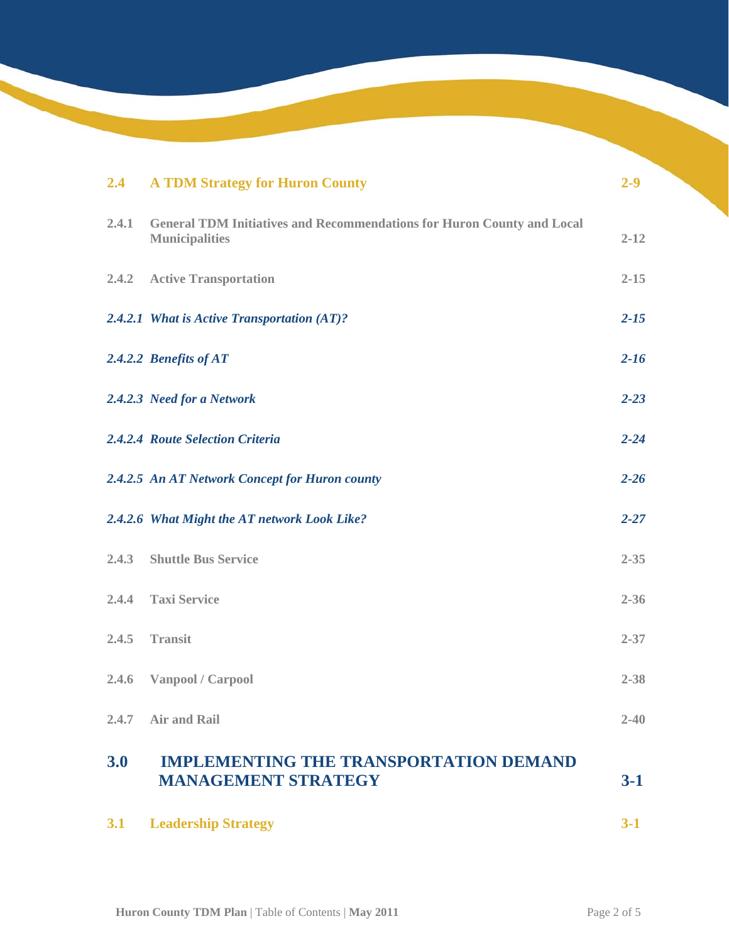| 2.4   | <b>A TDM Strategy for Huron County</b>                                                                 | $2 - 9$  |
|-------|--------------------------------------------------------------------------------------------------------|----------|
| 2.4.1 | <b>General TDM Initiatives and Recommendations for Huron County and Local</b><br><b>Municipalities</b> | $2 - 12$ |
| 2.4.2 | <b>Active Transportation</b>                                                                           | $2 - 15$ |
|       | 2.4.2.1 What is Active Transportation (AT)?                                                            | $2 - 15$ |
|       | 2.4.2.2 Benefits of AT                                                                                 | $2 - 16$ |
|       | 2.4.2.3 Need for a Network                                                                             | $2 - 23$ |
|       | 2.4.2.4 Route Selection Criteria                                                                       | $2 - 24$ |
|       | 2.4.2.5 An AT Network Concept for Huron county                                                         | $2 - 26$ |
|       | 2.4.2.6 What Might the AT network Look Like?                                                           | $2 - 27$ |
| 2.4.3 | <b>Shuttle Bus Service</b>                                                                             | $2 - 35$ |
| 2.4.4 | <b>Taxi Service</b>                                                                                    | $2 - 36$ |
| 2.4.5 | <b>Transit</b>                                                                                         | $2 - 37$ |
| 2.4.6 | Vanpool / Carpool                                                                                      | $2 - 38$ |
| 2.4.7 | <b>Air and Rail</b>                                                                                    | $2 - 40$ |
| 3.0   | <b>IMPLEMENTING THE TRANSPORTATION DEMAND</b><br><b>MANAGEMENT STRATEGY</b>                            | $3-1$    |
| 3.1   | <b>Leadership Strategy</b>                                                                             | $3 - 1$  |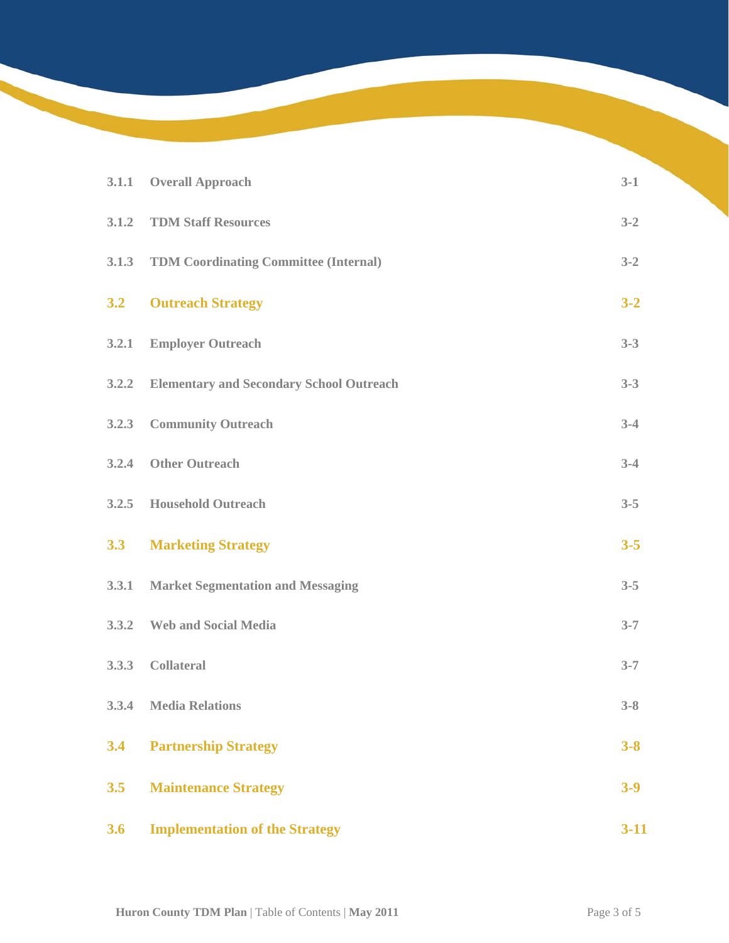| 3.1.1 | <b>Overall Approach</b>                         | $3-1$    |
|-------|-------------------------------------------------|----------|
| 3.1.2 | <b>TDM Staff Resources</b>                      | $3 - 2$  |
| 3.1.3 | <b>TDM Coordinating Committee (Internal)</b>    | $3 - 2$  |
| 3.2   | <b>Outreach Strategy</b>                        | $3 - 2$  |
| 3.2.1 | <b>Employer Outreach</b>                        | $3 - 3$  |
| 3.2.2 | <b>Elementary and Secondary School Outreach</b> | $3 - 3$  |
| 3.2.3 | <b>Community Outreach</b>                       | $3 - 4$  |
| 3.2.4 | <b>Other Outreach</b>                           | $3-4$    |
| 3.2.5 | <b>Household Outreach</b>                       | $3 - 5$  |
| 3.3   | <b>Marketing Strategy</b>                       | $3 - 5$  |
| 3.3.1 | <b>Market Segmentation and Messaging</b>        | $3 - 5$  |
| 3.3.2 | <b>Web and Social Media</b>                     | $3 - 7$  |
| 3.3.3 | <b>Collateral</b>                               | $3 - 7$  |
|       | 3.3.4 Media Relations                           | $3 - 8$  |
| 3.4   | <b>Partnership Strategy</b>                     | $3 - 8$  |
| 3.5   | <b>Maintenance Strategy</b>                     | $3 - 9$  |
| 3.6   | <b>Implementation of the Strategy</b>           | $3 - 11$ |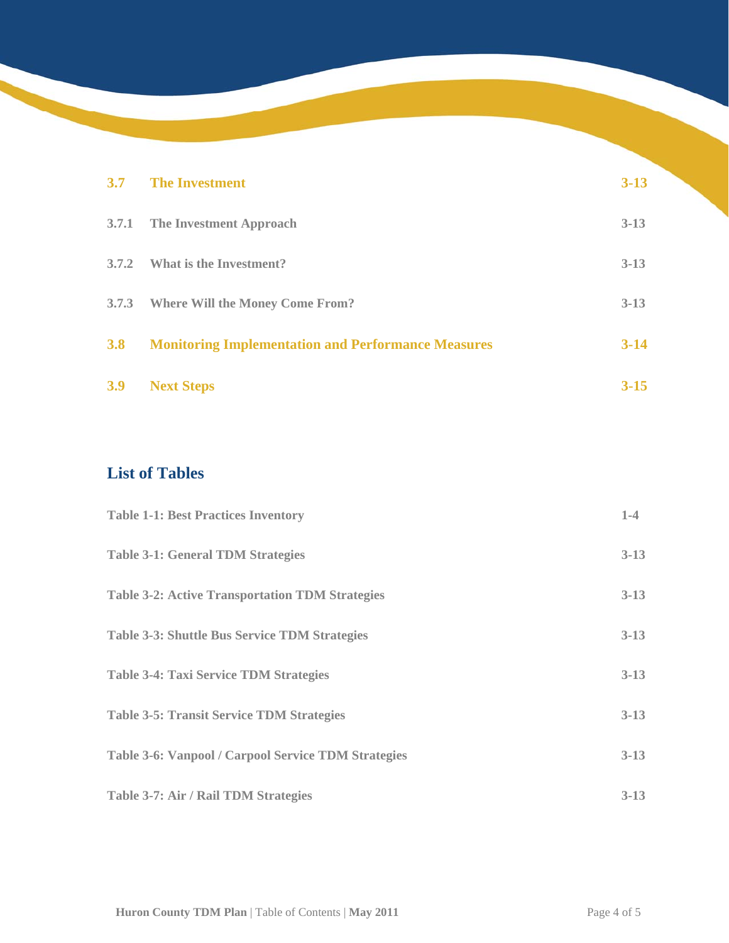| 3.7   | <b>The Investment</b>                                     | $3 - 13$ |
|-------|-----------------------------------------------------------|----------|
|       | 3.7.1 The Investment Approach                             | $3-13$   |
| 3.7.2 | What is the Investment?                                   | $3 - 13$ |
|       | 3.7.3 Where Will the Money Come From?                     | $3 - 13$ |
| 3.8   | <b>Monitoring Implementation and Performance Measures</b> | $3 - 14$ |
| 3.9   | <b>Next Steps</b>                                         | $3 - 15$ |

## **List of Tables**

| <b>Table 1-1: Best Practices Inventory</b>                 | $1-4$    |
|------------------------------------------------------------|----------|
| <b>Table 3-1: General TDM Strategies</b>                   | $3-13$   |
| <b>Table 3-2: Active Transportation TDM Strategies</b>     | $3 - 13$ |
| <b>Table 3-3: Shuttle Bus Service TDM Strategies</b>       | $3 - 13$ |
| <b>Table 3-4: Taxi Service TDM Strategies</b>              | $3 - 13$ |
| <b>Table 3-5: Transit Service TDM Strategies</b>           | $3-13$   |
| <b>Table 3-6: Vanpool / Carpool Service TDM Strategies</b> | $3 - 13$ |
| Table 3-7: Air / Rail TDM Strategies                       | $3-13$   |